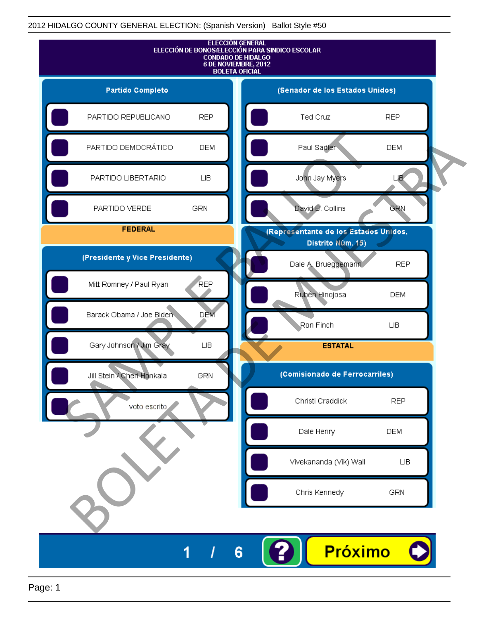

Page: 1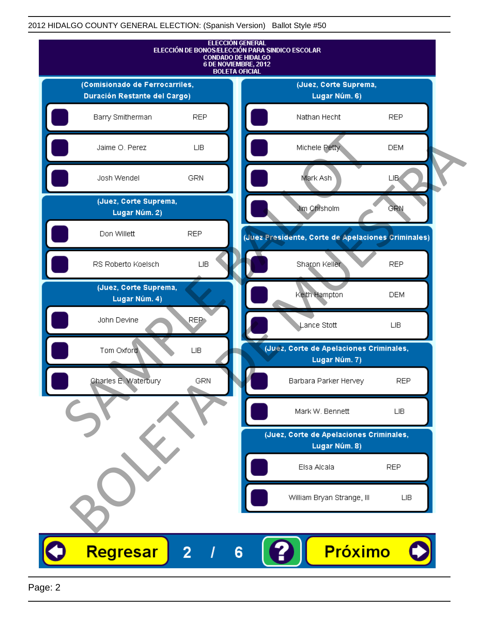

Page: 2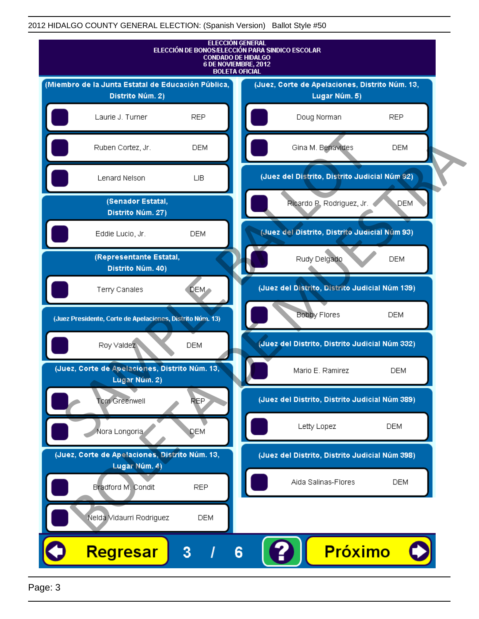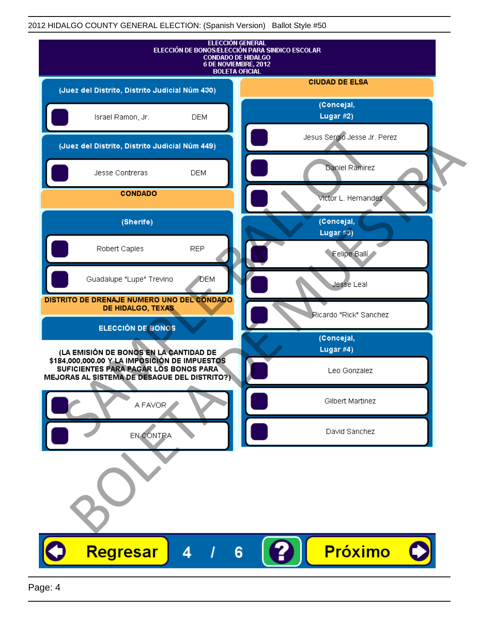| <b>ELECCIÓN GENERAL</b><br>ELECCIÓN DE BONOS/ELECCIÓN PARA SINDICO ESCOLAR<br><b>CONDADO DE HIDALGO</b><br>6 DE NOVIEMBRE, 2012<br><b>BOLETA OFICIAL</b> |                              |
|----------------------------------------------------------------------------------------------------------------------------------------------------------|------------------------------|
| (Juez del Distrito, Distrito Judicial Núm 430)                                                                                                           | <b>CIUDAD DE ELSA</b>        |
| Israel Ramon, Jr.<br><b>DEM</b>                                                                                                                          | (Concejal,<br>Lugar #2)      |
| (Juez del Distrito, Distrito Judicial Núm 449)                                                                                                           | Jesus Sergio Jesse Jr. Perez |
| Jesse Contreras<br><b>DEM</b>                                                                                                                            | Daniel Ramirez               |
| <b>CONDADO</b>                                                                                                                                           | victor L. Hernandez          |
| (Sherife)                                                                                                                                                | (Concejal,<br>Lugar $#3)$    |
| <b>REP</b><br>Robert Caples                                                                                                                              | Felipe Balli                 |
| Guadalupe "Lupe" Trevino<br><b>DEM</b>                                                                                                                   | Jesse Leal                   |
| DISTRITO DE DRENAJE NUMERO UNO DEL CONDADO<br>DE HIDALGO, TEXAS                                                                                          | Ricardo "Rick" Sanchez       |
| ELECCIÓN DE BONOS                                                                                                                                        | (Concejal,                   |
| (LA EMISIÓN DE BONOS EN LA CANTIDAD DE<br>\$184,000,000.00 Y LA IMPOSICIÓN DE IMPUESTOS<br>SUFICIENTES PARA PAGAR LOS BONOS PARA                         | Lugar #4)<br>Leo Gonzalez    |
| MEJORAS AL SISTEMA DE DESAGUE DEL DISTRITO?)                                                                                                             |                              |
| A FAVOR                                                                                                                                                  | Gilbert Martinez             |
| EN CONTRA                                                                                                                                                | David Sanchez                |
|                                                                                                                                                          |                              |
| Regresar<br>4<br>6                                                                                                                                       | Próximo                      |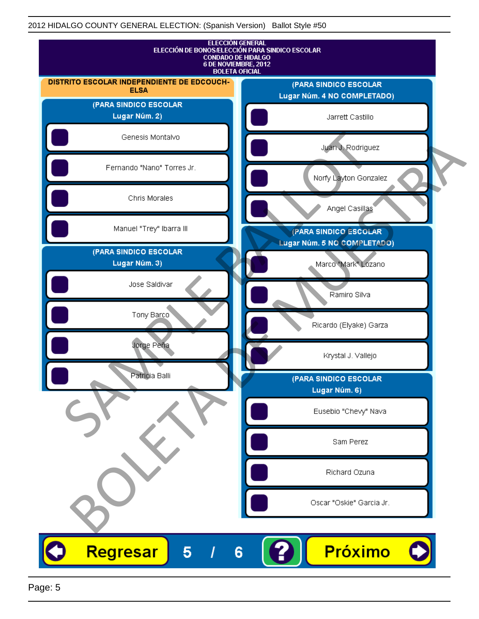

Page: 5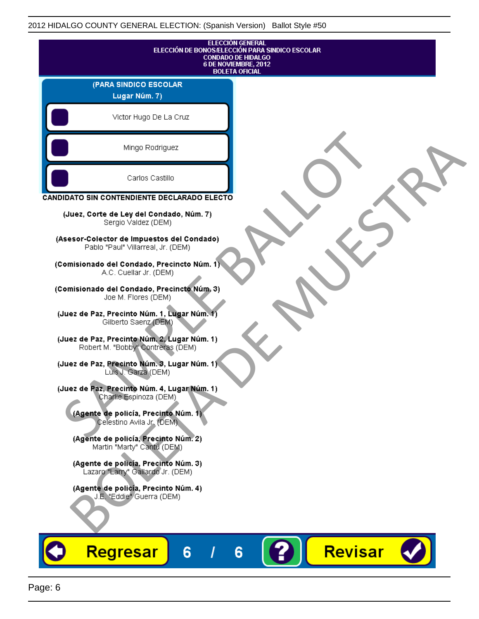| <b>ELECCIÓN GENERAL</b><br>ELECCIÓN DE BONOS/ELECCIÓN PARA SINDICO ESCOLAR<br><b>CONDADO DE HIDALGO</b><br>6 DE NOVIEMBRE, 2012<br><b>BOLETA OFICIAL</b> |                |
|----------------------------------------------------------------------------------------------------------------------------------------------------------|----------------|
| (PARA SINDICO ESCOLAR<br>Lugar Núm. 7)                                                                                                                   |                |
| Victor Hugo De La Cruz                                                                                                                                   |                |
| Mingo Rodriguez                                                                                                                                          |                |
| Carlos Castillo                                                                                                                                          |                |
| CANDIDATO SIN CONTENDIENTE DECLARADO ELECTO                                                                                                              |                |
| (Juez, Corte de Ley del Condado, Núm. 7)<br>Sergio Valdez (DEM)                                                                                          |                |
| (Asesor-Colector de Impuestos del Condado)<br>Pablo "Paul" Villarreal, Jr. (DEM)                                                                         |                |
| (Comisionado del Condado, Precincto Núm. 1)<br>A.C. Cuellar Jr. (DEM)                                                                                    |                |
| (Comisionado del Condado, Precincto Núm. 3)<br>Joe M. Flores (DEM)                                                                                       |                |
| (Juez de Paz, Precinto Núm. 1, Lugar Núm. 1)<br>Gilberto Saenz (DEM)                                                                                     |                |
| (Juez de Paz, Precinto Núm. 2, Lugar Núm. 1)<br>Robert M. "Bobby" Contreras (DEM)                                                                        |                |
| (Juez de Paz, Precinto Núm. 3, Lugar Núm. 1).<br>Luis J. Garza (DEM)                                                                                     |                |
| (Juez de Paz, Precinto Núm. 4, Lugar Núm. 1)<br>Charlie Espinoza (DEM)                                                                                   |                |
| (Agente de policía, Precinto Núm. 1)<br>Celestino Avila Jr. (DEM)                                                                                        |                |
| (Agente de policía, Precinto Núm. 2)<br>Martin "Marty" Cantú (DEM)                                                                                       |                |
| (Agente de policía, Precinto Núm. 3)<br>Lazaro "Larry" Gallardo Jr. (DEM)                                                                                |                |
| (Agente de policía, Precinto Núm. 4)<br>J.E. "Eddie" Guerra (DEM)                                                                                        |                |
|                                                                                                                                                          |                |
| Regresar<br>6<br>6                                                                                                                                       | <b>Revisar</b> |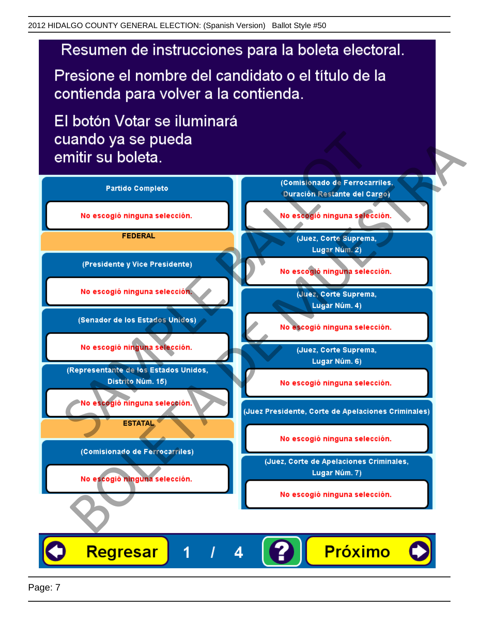Presione el nombre del candidato o el título de la contienda para volver a la contienda.

El botón Votar se iluminará

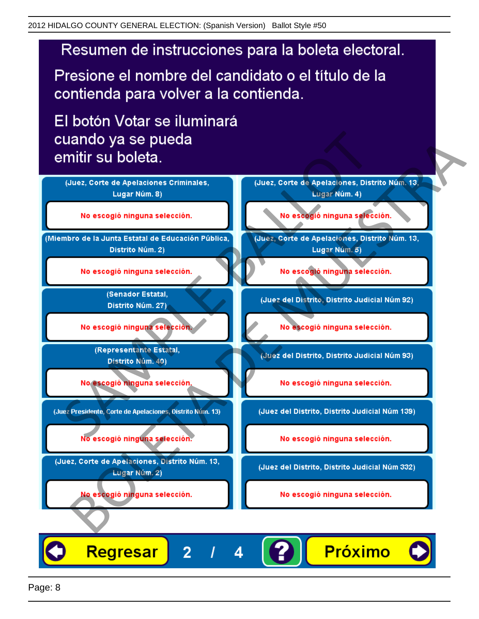Presione el nombre del candidato o el título de la contienda para volver a la contienda.

El botón Votar se iluminará



4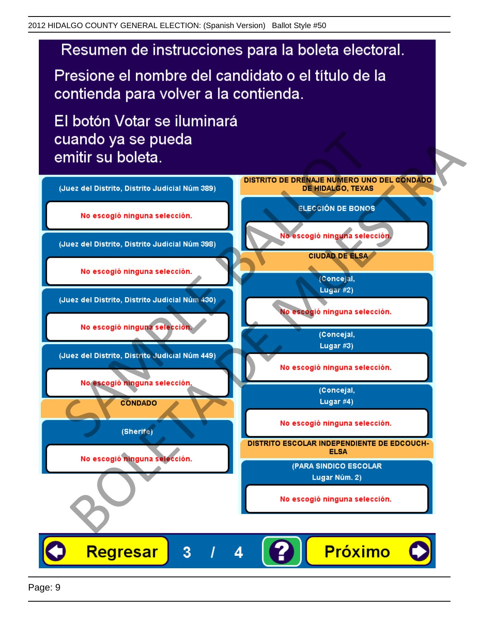Presione el nombre del candidato o el título de la contienda para volver a la contienda.

El botón Votar se iluminará